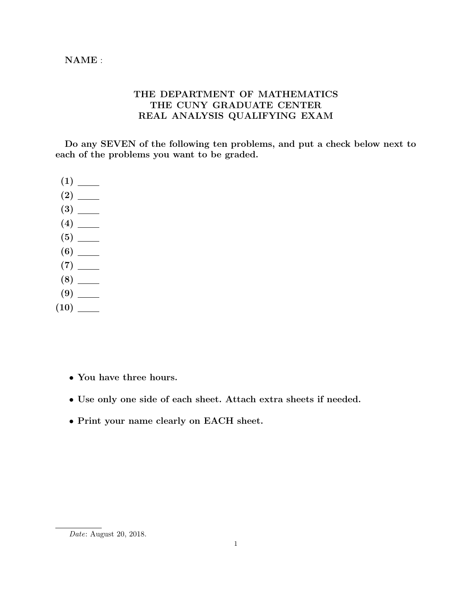## THE DEPARTMENT OF MATHEMATICS THE CUNY GRADUATE CENTER REAL ANALYSIS QUALIFYING EXAM

Do any SEVEN of the following ten problems, and put a check below next to each of the problems you want to be graded.

- (1) (2) (3) (4) (5) (6) (7)
- 
- (8)
- (9)
- (10)
	- You have three hours.
	- Use only one side of each sheet. Attach extra sheets if needed.
	- Print your name clearly on EACH sheet.

Date: August 20, 2018.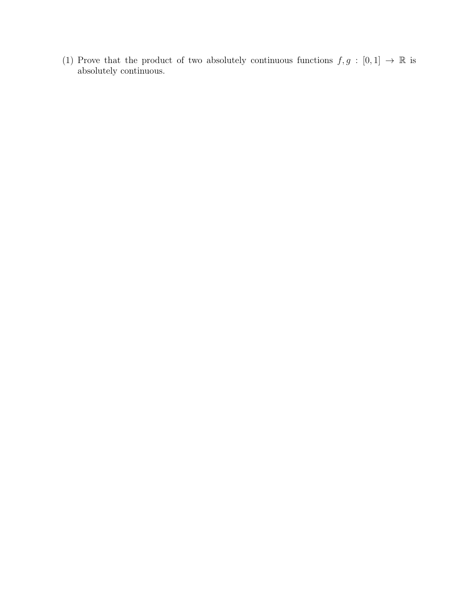(1) Prove that the product of two absolutely continuous functions  $f, g : [0, 1] \rightarrow \mathbb{R}$  is absolutely continuous.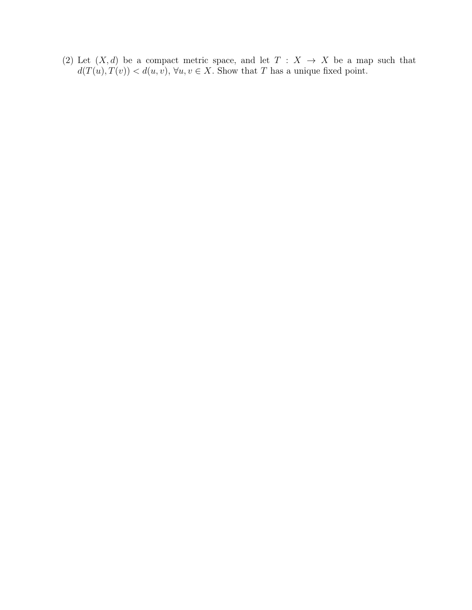(2) Let  $(X, d)$  be a compact metric space, and let  $T : X \rightarrow X$  be a map such that  $d(T(u), T(v)) < d(u, v), \forall u, v \in X$ . Show that T has a unique fixed point.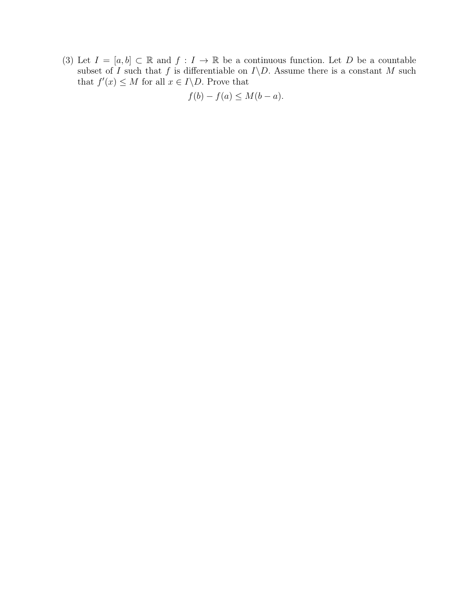(3) Let  $I = [a, b] \subset \mathbb{R}$  and  $f : I \to \mathbb{R}$  be a continuous function. Let D be a countable subset of I such that f is differentiable on  $I\backslash D$ . Assume there is a constant M such that  $f'(x) \leq M$  for all  $x \in I \backslash D$ . Prove that

$$
f(b) - f(a) \le M(b - a).
$$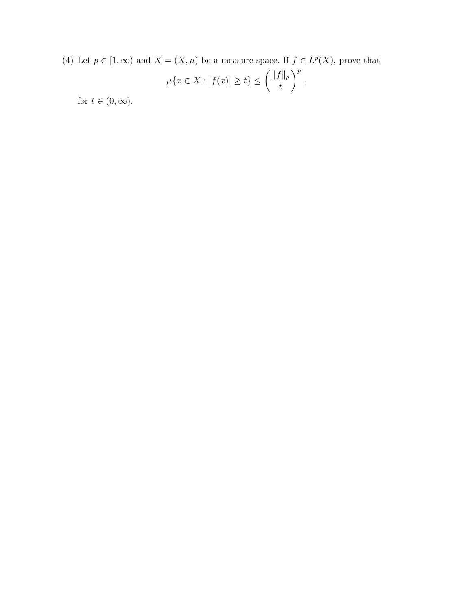(4) Let  $p \in [1,\infty)$  and  $X = (X,\mu)$  be a measure space. If  $f \in L^p(X)$ , prove that

$$
\mu\{x \in X : |f(x)| \ge t\} \le \left(\frac{\|f\|_p}{t}\right)^p,
$$

for  $t \in (0, \infty)$ .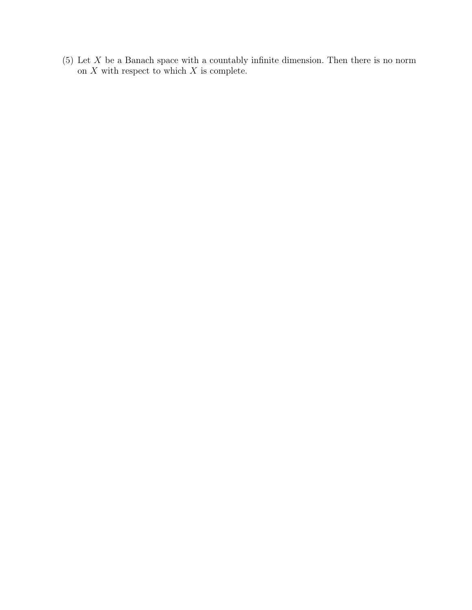(5) Let  $X$  be a Banach space with a countably infinite dimension. Then there is no norm on  $X$  with respect to which  $X$  is complete.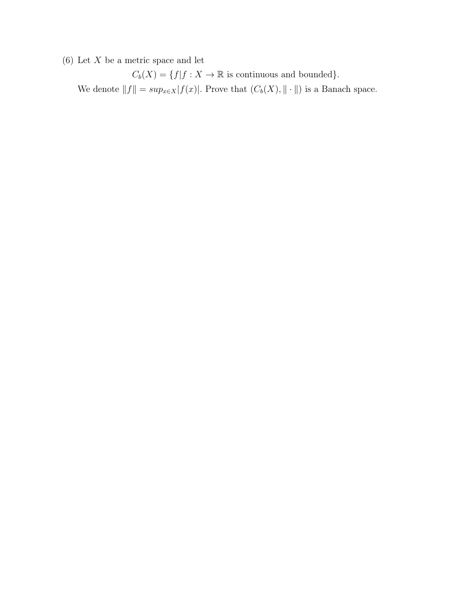$(6)$  Let X be a metric space and let

 $C_b(X) = \{f | f : X \to \mathbb{R}$  is continuous and bounded}. We denote  $||f|| = \sup_{x \in X} |f(x)|$ . Prove that  $(C_b(X), || \cdot ||)$  is a Banach space.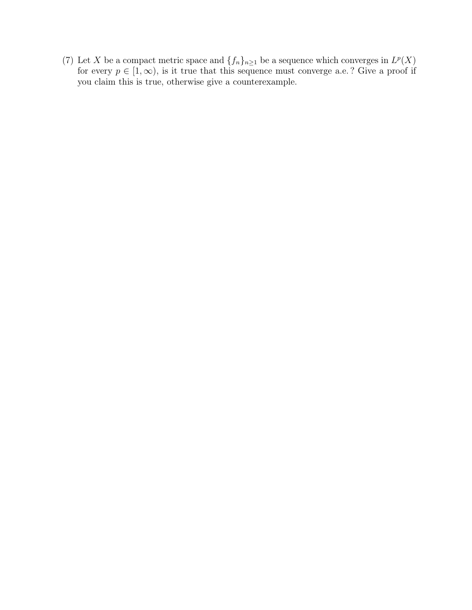(7) Let X be a compact metric space and  $\{f_n\}_{n\geq 1}$  be a sequence which converges in  $L^p(X)$ for every  $p \in [1,\infty)$ , is it true that this sequence must converge a.e.? Give a proof if you claim this is true, otherwise give a counterexample.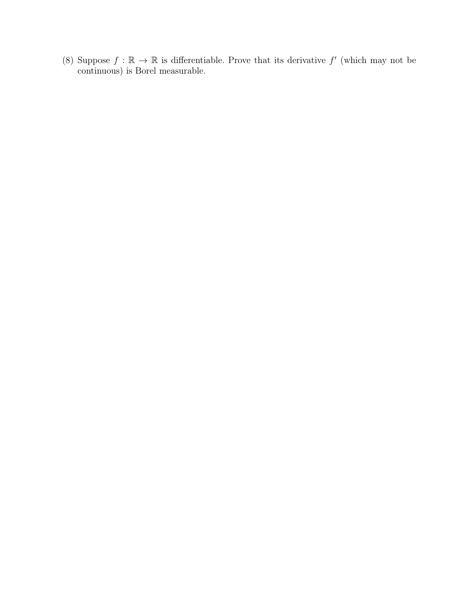(8) Suppose  $f : \mathbb{R} \to \mathbb{R}$  is differentiable. Prove that its derivative f' (which may not be continuous) is Borel measurable.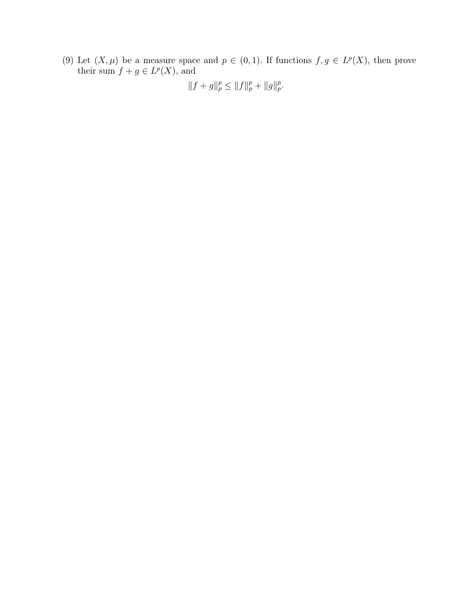(9) Let  $(X, \mu)$  be a measure space and  $p \in (0, 1)$ . If functions  $f, g \in L^p(X)$ , then prove their sum  $f + g \in L^p(X)$ , and

 $||f+g||_p^p \leq ||f||_p^p + ||g||_p^p.$